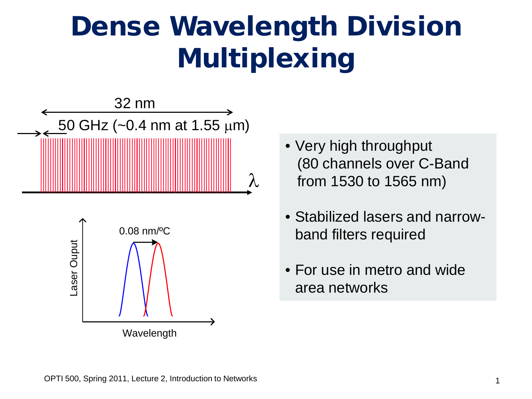## Dense Wavelength Division Multiplexing



- Very high throughput (80 channels over C-Band from 1530 to 1565 nm)
- Stabilized lasers and narrowband filters required
- For use in metro and wide area networks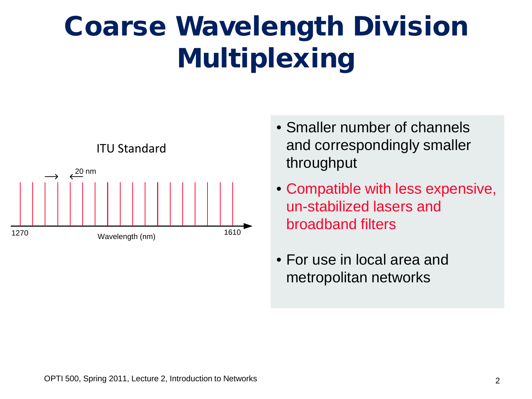## Coarse Wavelength Division Multiplexing



- Smaller number of channels and correspondingly smaller throughput
- Compatible with less expensive, un-stabilized lasers and broadband filters
- For use in local area and metropolitan networks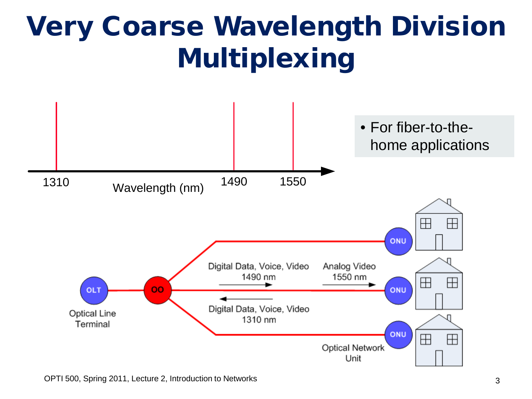

OPTI 500, Spring 2011, Lecture 2, Introduction to Networks 3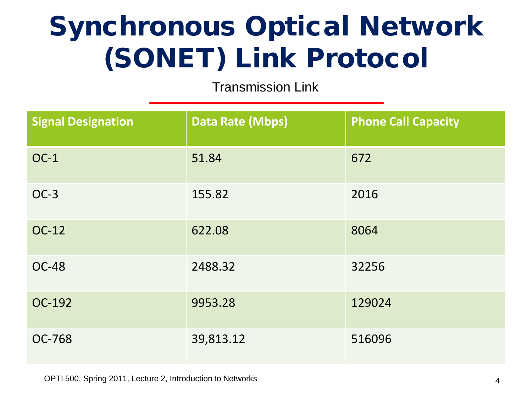#### Synchronous Optical Network (SONET) Link Protocol

Transmission Link

| <b>Signal Designation</b> | <b>Data Rate (Mbps)</b> | <b>Phone Call Capacity</b> |
|---------------------------|-------------------------|----------------------------|
| $OC-1$                    | 51.84                   | 672                        |
| $OC-3$                    | 155.82                  | 2016                       |
| <b>OC-12</b>              | 622.08                  | 8064                       |
| <b>OC-48</b>              | 2488.32                 | 32256                      |
| OC-192                    | 9953.28                 | 129024                     |
| <b>OC-768</b>             | 39,813.12               | 516096                     |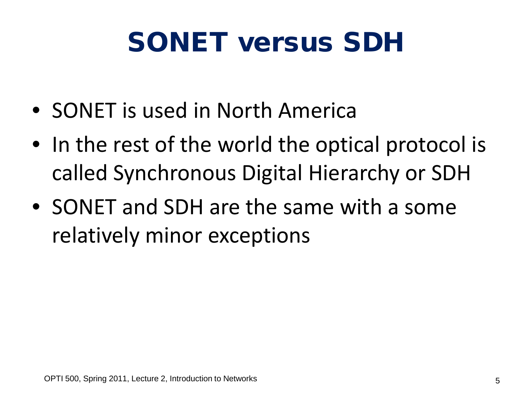## SONET versus SDH

- SONET is used in North America
- In the rest of the world the optical protocol is called Synchronous Digital Hierarchy or SDH
- SONET and SDH are the same with a some relatively minor exceptions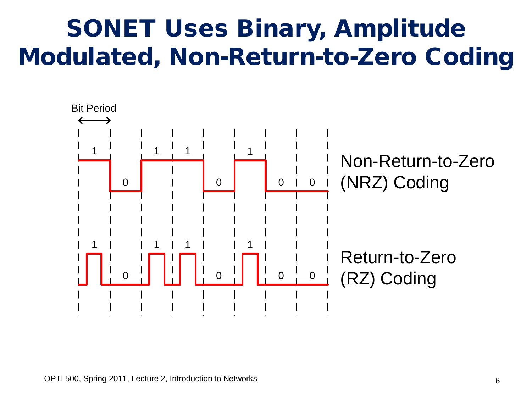#### SONET Uses Binary, Amplitude Modulated, Non-Return-to-Zero Coding

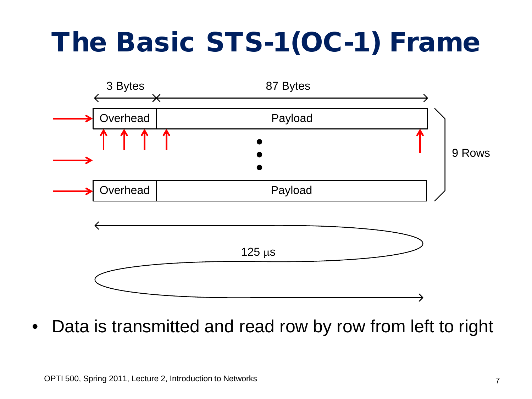# The Basic STS-1(OC-1) Frame



Data is transmitted and read row by row from left to right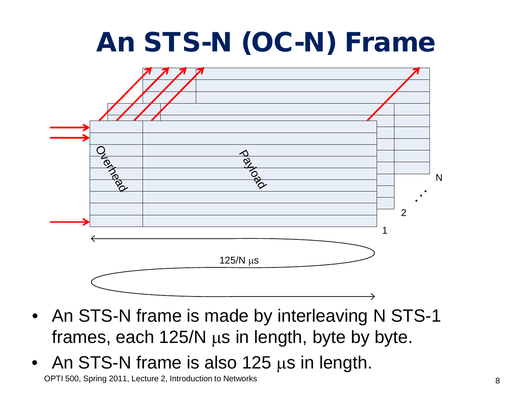## An STS-N (OC-N) Frame



- An STS-N frame is made by interleaving N STS-1 frames, each 125/N µs in length, byte by byte.
- An STS-N frame is also 125 µs in length.

OPTI 500, Spring 2011, Lecture 2, Introduction to Networks 8 and 100 minutes are set of the set of the set of the set of the set of the set of the set of the set of the set of the set of the set of the set of the set of th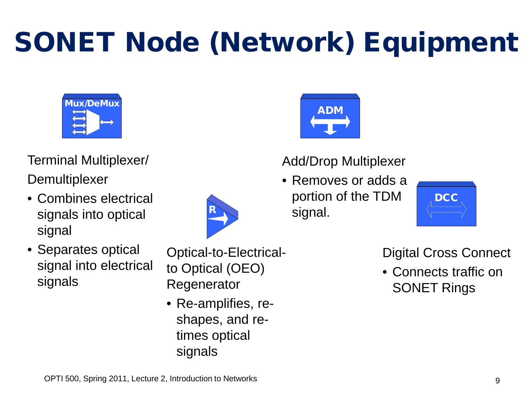# SONET Node (Network) Equipment



Terminal Multiplexer/ **Demultiplexer** 

- Combines electrical signals into optical signal
- Separates optical signal into electrical signals



Optical-to-Electricalto Optical (OEO) Regenerator

• Re-amplifies, reshapes, and retimes optical signals



#### Add/Drop Multiplexer

• Removes or adds a portion of the TDM signal.



#### Digital Cross Connect

• Connects traffic on SONET Rings